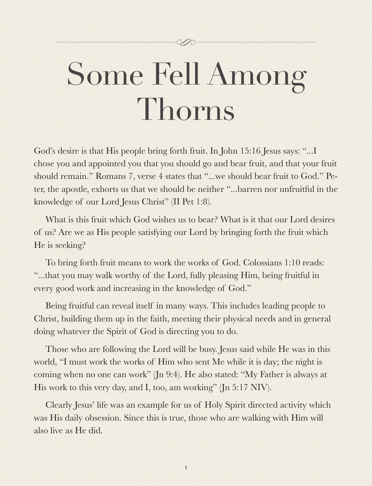# Some Fell Among Thorns

God's desire is that His people bring forth fruit. In John 15:16 Jesus says: "...I chose you and appointed you that you should go and bear fruit, and that your fruit should remain." Romans 7, verse 4 states that "...we should bear fruit to God." Peter, the apostle, exhorts us that we should be neither "...barren nor unfruitful in the knowledge of our Lord Jesus Christ" (II Pet 1:8).

What is this fruit which God wishes us to bear? What is it that our Lord desires of us? Are we as His people satisfying our Lord by bringing forth the fruit which He is seeking?

To bring forth fruit means to work the works of God. Colossians 1:10 reads: "...that you may walk worthy of the Lord, fully pleasing Him, being fruitful in every good work and increasing in the knowledge of God."

Being fruitful can reveal itself in many ways. This includes leading people to Christ, building them up in the faith, meeting their physical needs and in general doing whatever the Spirit of God is directing you to do.

Those who are following the Lord will be busy. Jesus said while He was in this world, "I must work the works of Him who sent Me while it is day; the night is coming when no one can work" (Jn 9:4). He also stated: "My Father is always at His work to this very day, and I, too, am working" (Jn 5:17 NIV).

Clearly Jesus' life was an example for us of Holy Spirit directed activity which was His daily obsession. Since this is true, those who are walking with Him will also live as He did.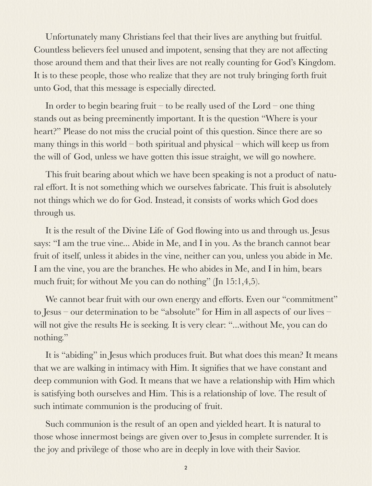Unfortunately many Christians feel that their lives are anything but fruitful. Countless believers feel unused and impotent, sensing that they are not affecting those around them and that their lives are not really counting for God's Kingdom. It is to these people, those who realize that they are not truly bringing forth fruit unto God, that this message is especially directed.

In order to begin bearing fruit – to be really used of the Lord – one thing stands out as being preeminently important. It is the question "Where is your heart?" Please do not miss the crucial point of this question. Since there are so many things in this world – both spiritual and physical – which will keep us from the will of God, unless we have gotten this issue straight, we will go nowhere.

This fruit bearing about which we have been speaking is not a product of natural effort. It is not something which we ourselves fabricate. This fruit is absolutely not things which we do for God. Instead, it consists of works which God does through us.

It is the result of the Divine Life of God flowing into us and through us. Jesus says: "I am the true vine... Abide in Me, and I in you. As the branch cannot bear fruit of itself, unless it abides in the vine, neither can you, unless you abide in Me. I am the vine, you are the branches. He who abides in Me, and I in him, bears much fruit; for without Me you can do nothing" (Jn 15:1,4,5).

We cannot bear fruit with our own energy and efforts. Even our "commitment" to Jesus – our determination to be "absolute" for Him in all aspects of our lives – will not give the results He is seeking. It is very clear: "...without Me, you can do nothing."

It is "abiding" in Jesus which produces fruit. But what does this mean? It means that we are walking in intimacy with Him. It signifies that we have constant and deep communion with God. It means that we have a relationship with Him which is satisfying both ourselves and Him. This is a relationship of love. The result of such intimate communion is the producing of fruit.

Such communion is the result of an open and yielded heart. It is natural to those whose innermost beings are given over to Jesus in complete surrender. It is the joy and privilege of those who are in deeply in love with their Savior.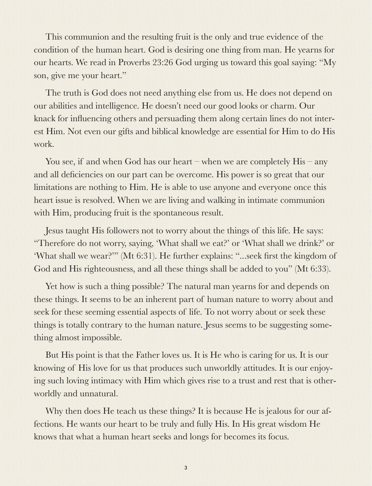This communion and the resulting fruit is the only and true evidence of the condition of the human heart. God is desiring one thing from man. He yearns for our hearts. We read in Proverbs 23:26 God urging us toward this goal saying: "My son, give me your heart."

The truth is God does not need anything else from us. He does not depend on our abilities and intelligence. He doesn't need our good looks or charm. Our knack for influencing others and persuading them along certain lines do not interest Him. Not even our gifts and biblical knowledge are essential for Him to do His work.

You see, if and when God has our heart – when we are completely His – any and all deficiencies on our part can be overcome. His power is so great that our limitations are nothing to Him. He is able to use anyone and everyone once this heart issue is resolved. When we are living and walking in intimate communion with Him, producing fruit is the spontaneous result.

Jesus taught His followers not to worry about the things of this life. He says: "Therefore do not worry, saying, 'What shall we eat?' or 'What shall we drink?' or 'What shall we wear?'" (Mt 6:31). He further explains: "...seek first the kingdom of God and His righteousness, and all these things shall be added to you" (Mt 6:33).

Yet how is such a thing possible? The natural man yearns for and depends on these things. It seems to be an inherent part of human nature to worry about and seek for these seeming essential aspects of life. To not worry about or seek these things is totally contrary to the human nature. Jesus seems to be suggesting something almost impossible.

But His point is that the Father loves us. It is He who is caring for us. It is our knowing of His love for us that produces such unworldly attitudes. It is our enjoying such loving intimacy with Him which gives rise to a trust and rest that is otherworldly and unnatural.

Why then does He teach us these things? It is because He is jealous for our affections. He wants our heart to be truly and fully His. In His great wisdom He knows that what a human heart seeks and longs for becomes its focus.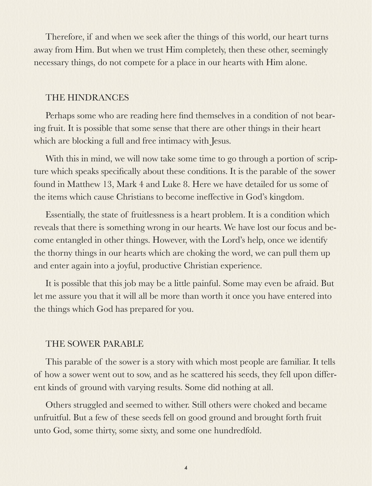Therefore, if and when we seek after the things of this world, our heart turns away from Him. But when we trust Him completely, then these other, seemingly necessary things, do not compete for a place in our hearts with Him alone.

### THE HINDRANCES

Perhaps some who are reading here find themselves in a condition of not bearing fruit. It is possible that some sense that there are other things in their heart which are blocking a full and free intimacy with Jesus.

With this in mind, we will now take some time to go through a portion of scripture which speaks specifically about these conditions. It is the parable of the sower found in Matthew 13, Mark 4 and Luke 8. Here we have detailed for us some of the items which cause Christians to become ineffective in God's kingdom.

Essentially, the state of fruitlessness is a heart problem. It is a condition which reveals that there is something wrong in our hearts. We have lost our focus and become entangled in other things. However, with the Lord's help, once we identify the thorny things in our hearts which are choking the word, we can pull them up and enter again into a joyful, productive Christian experience.

It is possible that this job may be a little painful. Some may even be afraid. But let me assure you that it will all be more than worth it once you have entered into the things which God has prepared for you.

#### THE SOWER PARABLE

This parable of the sower is a story with which most people are familiar. It tells of how a sower went out to sow, and as he scattered his seeds, they fell upon different kinds of ground with varying results. Some did nothing at all.

Others struggled and seemed to wither. Still others were choked and became unfruitful. But a few of these seeds fell on good ground and brought forth fruit unto God, some thirty, some sixty, and some one hundredfold.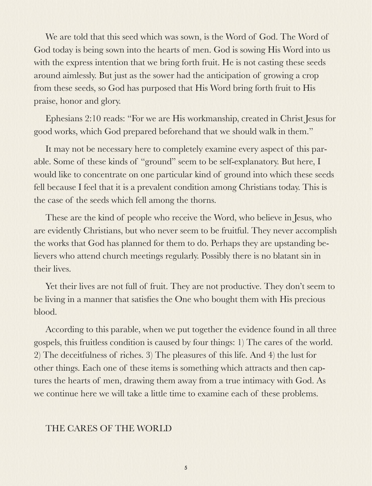We are told that this seed which was sown, is the Word of God. The Word of God today is being sown into the hearts of men. God is sowing His Word into us with the express intention that we bring forth fruit. He is not casting these seeds around aimlessly. But just as the sower had the anticipation of growing a crop from these seeds, so God has purposed that His Word bring forth fruit to His praise, honor and glory.

Ephesians 2:10 reads: "For we are His workmanship, created in Christ Jesus for good works, which God prepared beforehand that we should walk in them."

It may not be necessary here to completely examine every aspect of this parable. Some of these kinds of "ground" seem to be self-explanatory. But here, I would like to concentrate on one particular kind of ground into which these seeds fell because I feel that it is a prevalent condition among Christians today. This is the case of the seeds which fell among the thorns.

These are the kind of people who receive the Word, who believe in Jesus, who are evidently Christians, but who never seem to be fruitful. They never accomplish the works that God has planned for them to do. Perhaps they are upstanding believers who attend church meetings regularly. Possibly there is no blatant sin in their lives.

Yet their lives are not full of fruit. They are not productive. They don't seem to be living in a manner that satisfies the One who bought them with His precious blood.

According to this parable, when we put together the evidence found in all three gospels, this fruitless condition is caused by four things: 1) The cares of the world. 2) The deceitfulness of riches. 3) The pleasures of this life. And 4) the lust for other things. Each one of these items is something which attracts and then captures the hearts of men, drawing them away from a true intimacy with God. As we continue here we will take a little time to examine each of these problems.

## THE CARES OF THE WORLD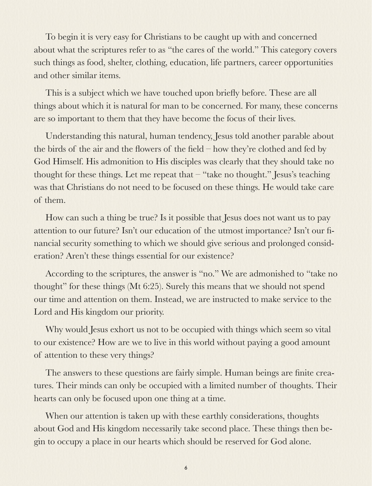To begin it is very easy for Christians to be caught up with and concerned about what the scriptures refer to as "the cares of the world." This category covers such things as food, shelter, clothing, education, life partners, career opportunities and other similar items.

This is a subject which we have touched upon briefly before. These are all things about which it is natural for man to be concerned. For many, these concerns are so important to them that they have become the focus of their lives.

Understanding this natural, human tendency, Jesus told another parable about the birds of the air and the flowers of the field – how they're clothed and fed by God Himself. His admonition to His disciples was clearly that they should take no thought for these things. Let me repeat that – "take no thought." Jesus's teaching was that Christians do not need to be focused on these things. He would take care of them.

How can such a thing be true? Is it possible that Jesus does not want us to pay attention to our future? Isn't our education of the utmost importance? Isn't our financial security something to which we should give serious and prolonged consideration? Aren't these things essential for our existence?

According to the scriptures, the answer is "no." We are admonished to "take no thought" for these things (Mt 6:25). Surely this means that we should not spend our time and attention on them. Instead, we are instructed to make service to the Lord and His kingdom our priority.

Why would Jesus exhort us not to be occupied with things which seem so vital to our existence? How are we to live in this world without paying a good amount of attention to these very things?

The answers to these questions are fairly simple. Human beings are finite creatures. Their minds can only be occupied with a limited number of thoughts. Their hearts can only be focused upon one thing at a time.

When our attention is taken up with these earthly considerations, thoughts about God and His kingdom necessarily take second place. These things then begin to occupy a place in our hearts which should be reserved for God alone.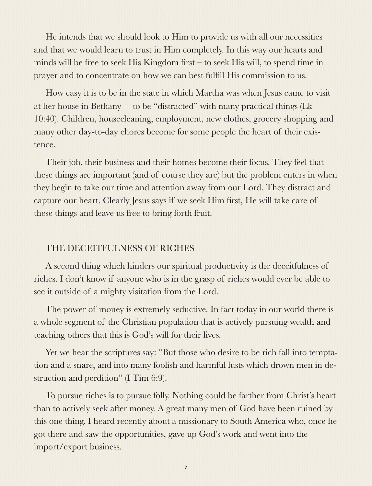He intends that we should look to Him to provide us with all our necessities and that we would learn to trust in Him completely. In this way our hearts and minds will be free to seek His Kingdom first – to seek His will, to spend time in prayer and to concentrate on how we can best fulfill His commission to us.

How easy it is to be in the state in which Martha was when Jesus came to visit at her house in Bethany – to be "distracted" with many practical things (Lk 10:40). Children, housecleaning, employment, new clothes, grocery shopping and many other day-to-day chores become for some people the heart of their existence.

Their job, their business and their homes become their focus. They feel that these things are important (and of course they are) but the problem enters in when they begin to take our time and attention away from our Lord. They distract and capture our heart. Clearly Jesus says if we seek Him first, He will take care of these things and leave us free to bring forth fruit.

# THE DECEITFULNESS OF RICHES

A second thing which hinders our spiritual productivity is the deceitfulness of riches. I don't know if anyone who is in the grasp of riches would ever be able to see it outside of a mighty visitation from the Lord.

The power of money is extremely seductive. In fact today in our world there is a whole segment of the Christian population that is actively pursuing wealth and teaching others that this is God's will for their lives.

Yet we hear the scriptures say: "But those who desire to be rich fall into temptation and a snare, and into many foolish and harmful lusts which drown men in destruction and perdition" (I Tim 6:9).

To pursue riches is to pursue folly. Nothing could be farther from Christ's heart than to actively seek after money. A great many men of God have been ruined by this one thing. I heard recently about a missionary to South America who, once he got there and saw the opportunities, gave up God's work and went into the import/export business.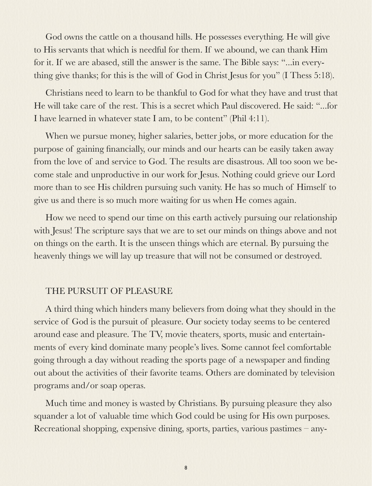God owns the cattle on a thousand hills. He possesses everything. He will give to His servants that which is needful for them. If we abound, we can thank Him for it. If we are abased, still the answer is the same. The Bible says: "...in everything give thanks; for this is the will of God in Christ Jesus for you" (I Thess 5:18).

Christians need to learn to be thankful to God for what they have and trust that He will take care of the rest. This is a secret which Paul discovered. He said: "...for I have learned in whatever state I am, to be content" (Phil 4:11).

When we pursue money, higher salaries, better jobs, or more education for the purpose of gaining financially, our minds and our hearts can be easily taken away from the love of and service to God. The results are disastrous. All too soon we become stale and unproductive in our work for Jesus. Nothing could grieve our Lord more than to see His children pursuing such vanity. He has so much of Himself to give us and there is so much more waiting for us when He comes again.

How we need to spend our time on this earth actively pursuing our relationship with Jesus! The scripture says that we are to set our minds on things above and not on things on the earth. It is the unseen things which are eternal. By pursuing the heavenly things we will lay up treasure that will not be consumed or destroyed.

### THE PURSUIT OF PLEASURE

A third thing which hinders many believers from doing what they should in the service of God is the pursuit of pleasure. Our society today seems to be centered around ease and pleasure. The TV, movie theaters, sports, music and entertainments of every kind dominate many people's lives. Some cannot feel comfortable going through a day without reading the sports page of a newspaper and finding out about the activities of their favorite teams. Others are dominated by television programs and/or soap operas.

Much time and money is wasted by Christians. By pursuing pleasure they also squander a lot of valuable time which God could be using for His own purposes. Recreational shopping, expensive dining, sports, parties, various pastimes – any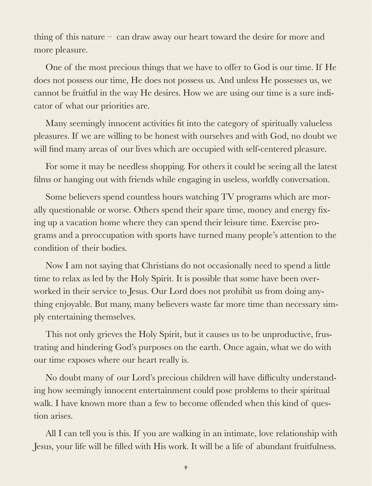thing of this nature – can draw away our heart toward the desire for more and more pleasure.

One of the most precious things that we have to offer to God is our time. If He does not possess our time, He does not possess us. And unless He possesses us, we cannot be fruitful in the way He desires. How we are using our time is a sure indicator of what our priorities are.

Many seemingly innocent activities fit into the category of spiritually valueless pleasures. If we are willing to be honest with ourselves and with God, no doubt we will find many areas of our lives which are occupied with self-centered pleasure.

For some it may be needless shopping. For others it could be seeing all the latest films or hanging out with friends while engaging in useless, worldly conversation.

Some believers spend countless hours watching TV programs which are morally questionable or worse. Others spend their spare time, money and energy fixing up a vacation home where they can spend their leisure time. Exercise programs and a preoccupation with sports have turned many people's attention to the condition of their bodies.

Now I am not saying that Christians do not occasionally need to spend a little time to relax as led by the Holy Spirit. It is possible that some have been overworked in their service to Jesus. Our Lord does not prohibit us from doing anything enjoyable. But many, many believers waste far more time than necessary simply entertaining themselves.

This not only grieves the Holy Spirit, but it causes us to be unproductive, frustrating and hindering God's purposes on the earth. Once again, what we do with our time exposes where our heart really is.

No doubt many of our Lord's precious children will have difficulty understanding how seemingly innocent entertainment could pose problems to their spiritual walk. I have known more than a few to become offended when this kind of question arises.

All I can tell you is this. If you are walking in an intimate, love relationship with Jesus, your life will be filled with His work. It will be a life of abundant fruitfulness.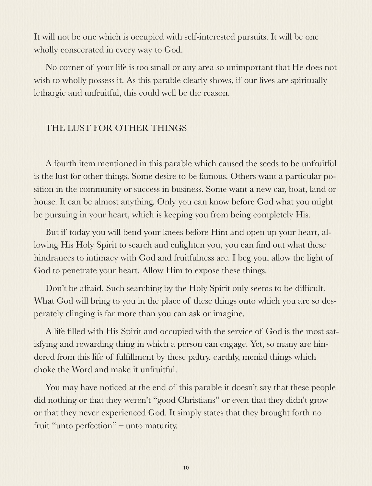It will not be one which is occupied with self-interested pursuits. It will be one wholly consecrated in every way to God.

No corner of your life is too small or any area so unimportant that He does not wish to wholly possess it. As this parable clearly shows, if our lives are spiritually lethargic and unfruitful, this could well be the reason.

# THE LUST FOR OTHER THINGS

A fourth item mentioned in this parable which caused the seeds to be unfruitful is the lust for other things. Some desire to be famous. Others want a particular position in the community or success in business. Some want a new car, boat, land or house. It can be almost anything. Only you can know before God what you might be pursuing in your heart, which is keeping you from being completely His.

But if today you will bend your knees before Him and open up your heart, allowing His Holy Spirit to search and enlighten you, you can find out what these hindrances to intimacy with God and fruitfulness are. I beg you, allow the light of God to penetrate your heart. Allow Him to expose these things.

Don't be afraid. Such searching by the Holy Spirit only seems to be difficult. What God will bring to you in the place of these things onto which you are so desperately clinging is far more than you can ask or imagine.

A life filled with His Spirit and occupied with the service of God is the most satisfying and rewarding thing in which a person can engage. Yet, so many are hindered from this life of fulfillment by these paltry, earthly, menial things which choke the Word and make it unfruitful.

You may have noticed at the end of this parable it doesn't say that these people did nothing or that they weren't "good Christians" or even that they didn't grow or that they never experienced God. It simply states that they brought forth no fruit "unto perfection" – unto maturity.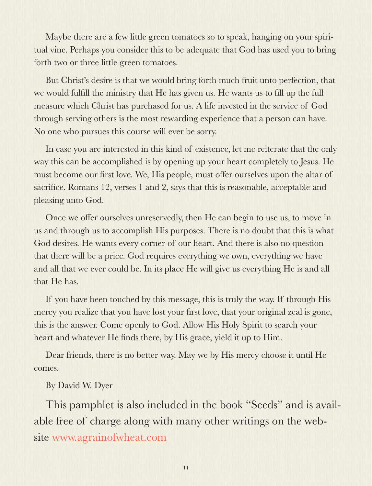Maybe there are a few little green tomatoes so to speak, hanging on your spiritual vine. Perhaps you consider this to be adequate that God has used you to bring forth two or three little green tomatoes.

But Christ's desire is that we would bring forth much fruit unto perfection, that we would fulfill the ministry that He has given us. He wants us to fill up the full measure which Christ has purchased for us. A life invested in the service of God through serving others is the most rewarding experience that a person can have. No one who pursues this course will ever be sorry.

In case you are interested in this kind of existence, let me reiterate that the only way this can be accomplished is by opening up your heart completely to Jesus. He must become our first love. We, His people, must offer ourselves upon the altar of sacrifice. Romans 12, verses 1 and 2, says that this is reasonable, acceptable and pleasing unto God.

Once we offer ourselves unreservedly, then He can begin to use us, to move in us and through us to accomplish His purposes. There is no doubt that this is what God desires. He wants every corner of our heart. And there is also no question that there will be a price. God requires everything we own, everything we have and all that we ever could be. In its place He will give us everything He is and all that He has.

If you have been touched by this message, this is truly the way. If through His mercy you realize that you have lost your first love, that your original zeal is gone, this is the answer. Come openly to God. Allow His Holy Spirit to search your heart and whatever He finds there, by His grace, yield it up to Him.

Dear friends, there is no better way. May we by His mercy choose it until He comes.

By David W. Dyer

This pamphlet is also included in the book "Seeds" and is available free of charge along with many other writings on the website [www.agrainofwheat.com](http://www.agrainofwheat.com)